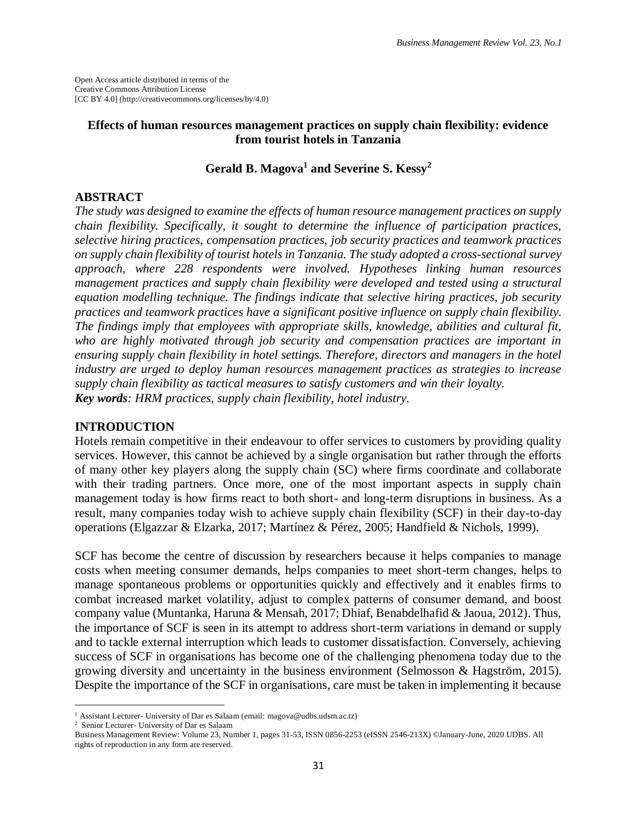Open Access article distributed in terms of the Creative Commons Attribution License [CC BY 4.0] (http://creativecommons.org/licenses/by/4.0)

## **Effects of human resources management practices on supply chain flexibility: evidence from tourist hotels in Tanzania**

## **Gerald B. Magova<sup>1</sup> and Severine S. Kessy<sup>2</sup>**

### **ABSTRACT**

*The study was designed to examine the effects of human resource management practices on supply chain flexibility. Specifically, it sought to determine the influence of participation practices, selective hiring practices, compensation practices, job security practices and teamwork practices on supply chain flexibility of tourist hotels in Tanzania. The study adopted a cross-sectional survey approach, where 228 respondents were involved. Hypotheses linking human resources management practices and supply chain flexibility were developed and tested using a structural equation modelling technique. The findings indicate that selective hiring practices, job security practices and teamwork practices have a significant positive influence on supply chain flexibility. The findings imply that employees with appropriate skills, knowledge, abilities and cultural fit, who are highly motivated through job security and compensation practices are important in ensuring supply chain flexibility in hotel settings. Therefore, directors and managers in the hotel industry are urged to deploy human resources management practices as strategies to increase supply chain flexibility as tactical measures to satisfy customers and win their loyalty. Key words: HRM practices, supply chain flexibility, hotel industry.*

### **INTRODUCTION**

Hotels remain competitive in their endeavour to offer services to customers by providing quality services. However, this cannot be achieved by a single organisation but rather through the efforts of many other key players along the supply chain (SC) where firms coordinate and collaborate with their trading partners. Once more, one of the most important aspects in supply chain management today is how firms react to both short- and long-term disruptions in business. As a result, many companies today wish to achieve supply chain flexibility (SCF) in their day-to-day operations (Elgazzar & Elzarka, 2017; Martínez & Pérez, 2005; Handfield & Nichols, 1999).

SCF has become the centre of discussion by researchers because it helps companies to manage costs when meeting consumer demands, helps companies to meet short-term changes, helps to manage spontaneous problems or opportunities quickly and effectively and it enables firms to combat increased market volatility, adjust to complex patterns of consumer demand, and boost company value (Muntanka, Haruna & Mensah, 2017; Dhiaf, Benabdelhafid & Jaoua, 2012). Thus, the importance of SCF is seen in its attempt to address short-term variations in demand or supply and to tackle external interruption which leads to customer dissatisfaction. Conversely, achieving success of SCF in organisations has become one of the challenging phenomena today due to the growing diversity and uncertainty in the business environment (Selmosson  $\&$  Hagström, 2015). Despite the importance of the SCF in organisations, care must be taken in implementing it because

 $\overline{\phantom{a}}$ 

<sup>&</sup>lt;sup>1</sup> Assistant Lecturer- University of Dar es Salaam (email: magova@udbs.udsm.ac.tz)

<sup>2</sup> Senior Lecturer- University of Dar es Salaam

Business Management Review: Volume 23, Number 1, pages 31-53, ISSN 0856-2253 (eISSN 2546-213X) ©January-June, 2020 UDBS. All rights of reproduction in any form are reserved.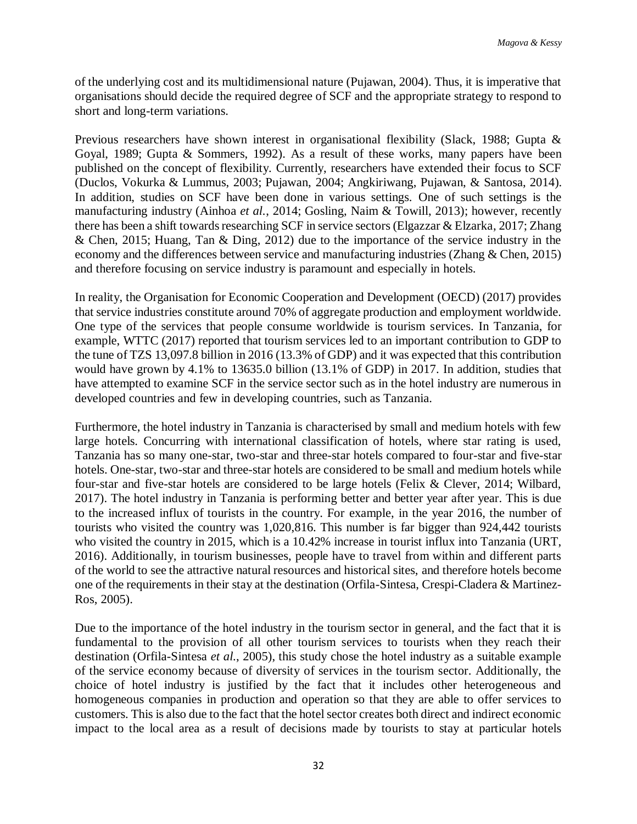of the underlying cost and its multidimensional nature (Pujawan, 2004). Thus, it is imperative that organisations should decide the required degree of SCF and the appropriate strategy to respond to short and long-term variations.

Previous researchers have shown interest in organisational flexibility (Slack, 1988; Gupta & Goyal, 1989; Gupta & Sommers, 1992). As a result of these works, many papers have been published on the concept of flexibility. Currently, researchers have extended their focus to SCF (Duclos, Vokurka & Lummus, 2003; Pujawan, 2004; Angkiriwang, Pujawan, & Santosa, 2014). In addition, studies on SCF have been done in various settings. One of such settings is the manufacturing industry (Ainhoa *et al.*, 2014; Gosling, Naim & Towill, 2013); however, recently there has been a shift towards researching SCF in service sectors (Elgazzar & Elzarka, 2017; Zhang & Chen, 2015; Huang, Tan & Ding, 2012) due to the importance of the service industry in the economy and the differences between service and manufacturing industries (Zhang & Chen, 2015) and therefore focusing on service industry is paramount and especially in hotels.

In reality, the Organisation for Economic Cooperation and Development (OECD) (2017) provides that service industries constitute around 70% of aggregate production and employment worldwide. One type of the services that people consume worldwide is tourism services. In Tanzania, for example, WTTC (2017) reported that tourism services led to an important contribution to GDP to the tune of TZS 13,097.8 billion in 2016 (13.3% of GDP) and it was expected that this contribution would have grown by 4.1% to 13635.0 billion (13.1% of GDP) in 2017. In addition, studies that have attempted to examine SCF in the service sector such as in the hotel industry are numerous in developed countries and few in developing countries, such as Tanzania.

Furthermore, the hotel industry in Tanzania is characterised by small and medium hotels with few large hotels. Concurring with international classification of hotels, where star rating is used, Tanzania has so many one-star, two-star and three-star hotels compared to four-star and five-star hotels. One-star, two-star and three-star hotels are considered to be small and medium hotels while four-star and five-star hotels are considered to be large hotels (Felix & Clever, 2014; Wilbard, 2017). The hotel industry in Tanzania is performing better and better year after year. This is due to the increased influx of tourists in the country. For example, in the year 2016, the number of tourists who visited the country was 1,020,816. This number is far bigger than 924,442 tourists who visited the country in 2015, which is a 10.42% increase in tourist influx into Tanzania (URT, 2016). Additionally, in tourism businesses, people have to travel from within and different parts of the world to see the attractive natural resources and historical sites, and therefore hotels become one of the requirements in their stay at the destination (Orfila-Sintesa, Crespi-Cladera & Martinez-Ros, 2005).

Due to the importance of the hotel industry in the tourism sector in general, and the fact that it is fundamental to the provision of all other tourism services to tourists when they reach their destination (Orfila-Sintesa *et al.*, 2005), this study chose the hotel industry as a suitable example of the service economy because of diversity of services in the tourism sector. Additionally, the choice of hotel industry is justified by the fact that it includes other heterogeneous and homogeneous companies in production and operation so that they are able to offer services to customers. This is also due to the fact that the hotel sector creates both direct and indirect economic impact to the local area as a result of decisions made by tourists to stay at particular hotels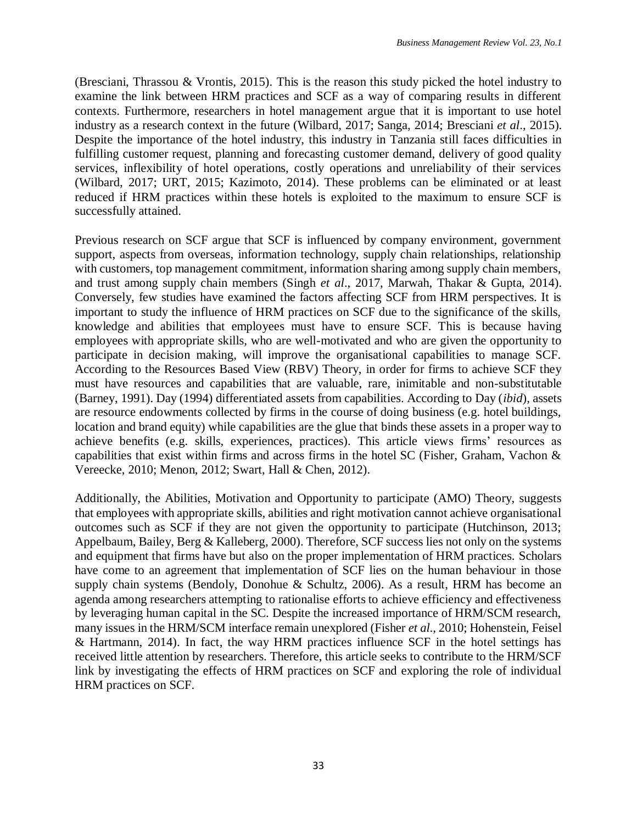(Bresciani, Thrassou & Vrontis, 2015). This is the reason this study picked the hotel industry to examine the link between HRM practices and SCF as a way of comparing results in different contexts. Furthermore, researchers in hotel management argue that it is important to use hotel industry as a research context in the future (Wilbard, 2017; Sanga, 2014; Bresciani *et al*., 2015). Despite the importance of the hotel industry, this industry in Tanzania still faces difficulties in fulfilling customer request, planning and forecasting customer demand, delivery of good quality services, inflexibility of hotel operations, costly operations and unreliability of their services (Wilbard, 2017; URT, 2015; Kazimoto, 2014). These problems can be eliminated or at least reduced if HRM practices within these hotels is exploited to the maximum to ensure SCF is successfully attained.

Previous research on SCF argue that SCF is influenced by company environment, government support, aspects from overseas, information technology, supply chain relationships, relationship with customers, top management commitment, information sharing among supply chain members, and trust among supply chain members (Singh *et al*., 2017, Marwah, Thakar & Gupta, 2014). Conversely, few studies have examined the factors affecting SCF from HRM perspectives. It is important to study the influence of HRM practices on SCF due to the significance of the skills, knowledge and abilities that employees must have to ensure SCF. This is because having employees with appropriate skills, who are well-motivated and who are given the opportunity to participate in decision making, will improve the organisational capabilities to manage SCF. According to the Resources Based View (RBV) Theory, in order for firms to achieve SCF they must have resources and capabilities that are valuable, rare, inimitable and non-substitutable (Barney, 1991). Day (1994) differentiated assets from capabilities. According to Day (*ibid*), assets are resource endowments collected by firms in the course of doing business (e.g. hotel buildings, location and brand equity) while capabilities are the glue that binds these assets in a proper way to achieve benefits (e.g. skills, experiences, practices). This article views firms' resources as capabilities that exist within firms and across firms in the hotel SC (Fisher, Graham, Vachon & Vereecke, 2010; Menon, 2012; Swart, Hall & Chen, 2012).

Additionally, the Abilities, Motivation and Opportunity to participate (AMO) Theory, suggests that employees with appropriate skills, abilities and right motivation cannot achieve organisational outcomes such as SCF if they are not given the opportunity to participate (Hutchinson, 2013; Appelbaum, Bailey, Berg & Kalleberg, 2000). Therefore, SCF success lies not only on the systems and equipment that firms have but also on the proper implementation of HRM practices. Scholars have come to an agreement that implementation of SCF lies on the human behaviour in those supply chain systems (Bendoly, Donohue & Schultz, 2006). As a result, HRM has become an agenda among researchers attempting to rationalise efforts to achieve efficiency and effectiveness by leveraging human capital in the SC. Despite the increased importance of HRM/SCM research, many issues in the HRM/SCM interface remain unexplored (Fisher *et al*., 2010; Hohenstein, Feisel & Hartmann, 2014). In fact, the way HRM practices influence SCF in the hotel settings has received little attention by researchers. Therefore, this article seeks to contribute to the HRM/SCF link by investigating the effects of HRM practices on SCF and exploring the role of individual HRM practices on SCF.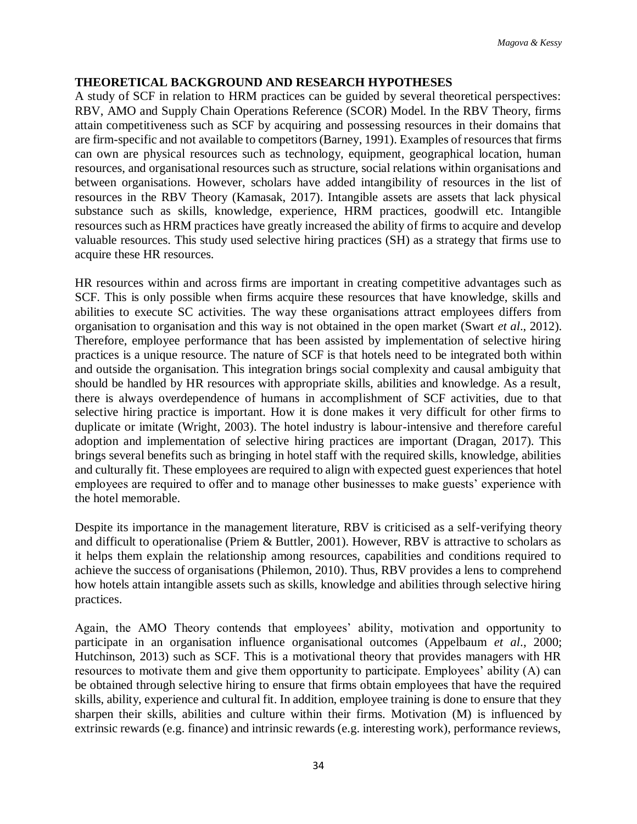## **THEORETICAL BACKGROUND AND RESEARCH HYPOTHESES**

A study of SCF in relation to HRM practices can be guided by several theoretical perspectives: RBV, AMO and Supply Chain Operations Reference (SCOR) Model. In the RBV Theory, firms attain competitiveness such as SCF by acquiring and possessing resources in their domains that are firm-specific and not available to competitors (Barney, 1991). Examples of resources that firms can own are physical resources such as technology, equipment, geographical location, human resources, and organisational resources such as structure, social relations within organisations and between organisations. However, scholars have added intangibility of resources in the list of resources in the RBV Theory (Kamasak, 2017). Intangible assets are assets that lack physical substance such as skills, knowledge, experience, HRM practices, goodwill etc. Intangible resources such as HRM practices have greatly increased the ability of firms to acquire and develop valuable resources. This study used selective hiring practices (SH) as a strategy that firms use to acquire these HR resources.

HR resources within and across firms are important in creating competitive advantages such as SCF. This is only possible when firms acquire these resources that have knowledge, skills and abilities to execute SC activities. The way these organisations attract employees differs from organisation to organisation and this way is not obtained in the open market (Swart *et al*., 2012). Therefore, employee performance that has been assisted by implementation of selective hiring practices is a unique resource. The nature of SCF is that hotels need to be integrated both within and outside the organisation. This integration brings social complexity and causal ambiguity that should be handled by HR resources with appropriate skills, abilities and knowledge. As a result, there is always overdependence of humans in accomplishment of SCF activities, due to that selective hiring practice is important. How it is done makes it very difficult for other firms to duplicate or imitate (Wright, 2003). The hotel industry is labour-intensive and therefore careful adoption and implementation of selective hiring practices are important (Dragan, 2017). This brings several benefits such as bringing in hotel staff with the required skills, knowledge, abilities and culturally fit. These employees are required to align with expected guest experiences that hotel employees are required to offer and to manage other businesses to make guests' experience with the hotel memorable.

Despite its importance in the management literature, RBV is criticised as a self-verifying theory and difficult to operationalise (Priem & Buttler, 2001). However, RBV is attractive to scholars as it helps them explain the relationship among resources, capabilities and conditions required to achieve the success of organisations (Philemon, 2010). Thus, RBV provides a lens to comprehend how hotels attain intangible assets such as skills, knowledge and abilities through selective hiring practices.

Again, the AMO Theory contends that employees' ability, motivation and opportunity to participate in an organisation influence organisational outcomes (Appelbaum *et al*., 2000; Hutchinson, 2013) such as SCF. This is a motivational theory that provides managers with HR resources to motivate them and give them opportunity to participate. Employees' ability (A) can be obtained through selective hiring to ensure that firms obtain employees that have the required skills, ability, experience and cultural fit. In addition, employee training is done to ensure that they sharpen their skills, abilities and culture within their firms. Motivation (M) is influenced by extrinsic rewards (e.g. finance) and intrinsic rewards (e.g. interesting work), performance reviews,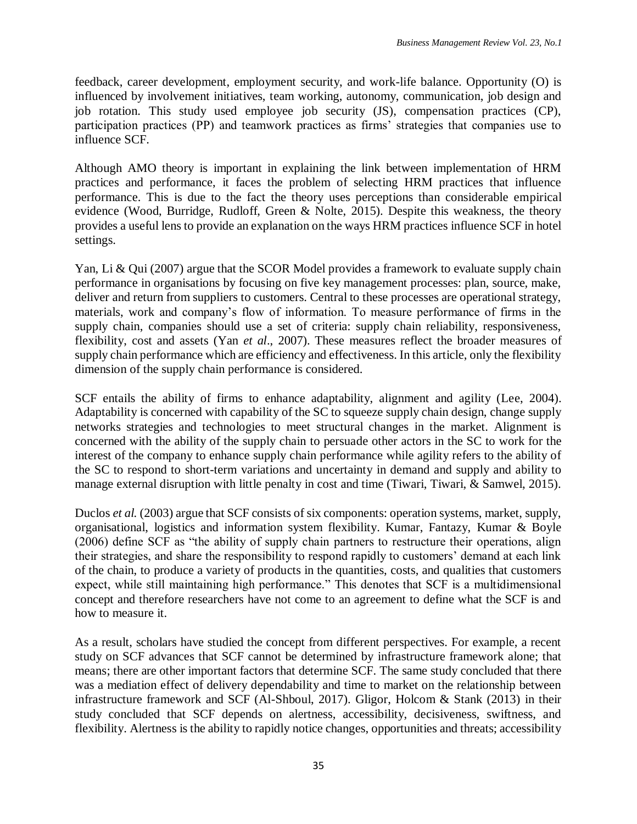feedback, career development, employment security, and work-life balance. Opportunity (O) is influenced by involvement initiatives, team working, autonomy, communication, job design and job rotation. This study used employee job security (JS), compensation practices (CP), participation practices (PP) and teamwork practices as firms' strategies that companies use to influence SCF.

Although AMO theory is important in explaining the link between implementation of HRM practices and performance, it faces the problem of selecting HRM practices that influence performance. This is due to the fact the theory uses perceptions than considerable empirical evidence (Wood, Burridge, Rudloff, Green & Nolte, 2015). Despite this weakness, the theory provides a useful lens to provide an explanation on the ways HRM practices influence SCF in hotel settings.

Yan, Li & Qui (2007) argue that the SCOR Model provides a framework to evaluate supply chain performance in organisations by focusing on five key management processes: plan, source, make, deliver and return from suppliers to customers. Central to these processes are operational strategy, materials, work and company's flow of information. To measure performance of firms in the supply chain, companies should use a set of criteria: supply chain reliability, responsiveness, flexibility, cost and assets (Yan *et al*., 2007). These measures reflect the broader measures of supply chain performance which are efficiency and effectiveness. In this article, only the flexibility dimension of the supply chain performance is considered.

SCF entails the ability of firms to enhance adaptability, alignment and agility (Lee, 2004). Adaptability is concerned with capability of the SC to squeeze supply chain design, change supply networks strategies and technologies to meet structural changes in the market. Alignment is concerned with the ability of the supply chain to persuade other actors in the SC to work for the interest of the company to enhance supply chain performance while agility refers to the ability of the SC to respond to short-term variations and uncertainty in demand and supply and ability to manage external disruption with little penalty in cost and time (Tiwari, Tiwari, & Samwel, 2015).

Duclos *et al.* (2003) argue that SCF consists of six components: operation systems, market, supply, organisational, logistics and information system flexibility. Kumar, Fantazy, Kumar & Boyle (2006) define SCF as "the ability of supply chain partners to restructure their operations, align their strategies, and share the responsibility to respond rapidly to customers' demand at each link of the chain, to produce a variety of products in the quantities, costs, and qualities that customers expect, while still maintaining high performance." This denotes that SCF is a multidimensional concept and therefore researchers have not come to an agreement to define what the SCF is and how to measure it.

As a result, scholars have studied the concept from different perspectives. For example, a recent study on SCF advances that SCF cannot be determined by infrastructure framework alone; that means; there are other important factors that determine SCF. The same study concluded that there was a mediation effect of delivery dependability and time to market on the relationship between infrastructure framework and SCF (Al-Shboul, 2017). Gligor, Holcom & Stank (2013) in their study concluded that SCF depends on alertness, accessibility, decisiveness, swiftness, and flexibility. Alertness is the ability to rapidly notice changes, opportunities and threats; accessibility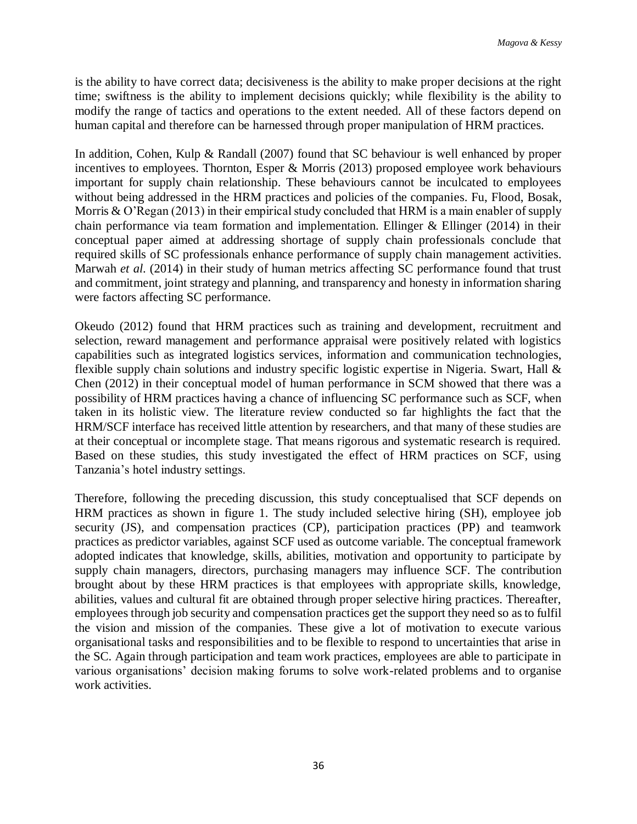is the ability to have correct data; decisiveness is the ability to make proper decisions at the right time; swiftness is the ability to implement decisions quickly; while flexibility is the ability to modify the range of tactics and operations to the extent needed. All of these factors depend on human capital and therefore can be harnessed through proper manipulation of HRM practices.

In addition, Cohen, Kulp & Randall (2007) found that SC behaviour is well enhanced by proper incentives to employees. Thornton, Esper & Morris (2013) proposed employee work behaviours important for supply chain relationship. These behaviours cannot be inculcated to employees without being addressed in the HRM practices and policies of the companies. Fu, Flood, Bosak, Morris & O'Regan (2013) in their empirical study concluded that HRM is a main enabler of supply chain performance via team formation and implementation. Ellinger  $&$  Ellinger (2014) in their conceptual paper aimed at addressing shortage of supply chain professionals conclude that required skills of SC professionals enhance performance of supply chain management activities. Marwah *et al*. (2014) in their study of human metrics affecting SC performance found that trust and commitment, joint strategy and planning, and transparency and honesty in information sharing were factors affecting SC performance.

Okeudo (2012) found that HRM practices such as training and development, recruitment and selection, reward management and performance appraisal were positively related with logistics capabilities such as integrated logistics services, information and communication technologies, flexible supply chain solutions and industry specific logistic expertise in Nigeria. Swart, Hall & Chen (2012) in their conceptual model of human performance in SCM showed that there was a possibility of HRM practices having a chance of influencing SC performance such as SCF, when taken in its holistic view. The literature review conducted so far highlights the fact that the HRM/SCF interface has received little attention by researchers, and that many of these studies are at their conceptual or incomplete stage. That means rigorous and systematic research is required. Based on these studies, this study investigated the effect of HRM practices on SCF, using Tanzania's hotel industry settings.

Therefore, following the preceding discussion, this study conceptualised that SCF depends on HRM practices as shown in figure 1. The study included selective hiring (SH), employee job security (JS), and compensation practices (CP), participation practices (PP) and teamwork practices as predictor variables, against SCF used as outcome variable. The conceptual framework adopted indicates that knowledge, skills, abilities, motivation and opportunity to participate by supply chain managers, directors, purchasing managers may influence SCF. The contribution brought about by these HRM practices is that employees with appropriate skills, knowledge, abilities, values and cultural fit are obtained through proper selective hiring practices. Thereafter, employees through job security and compensation practices get the support they need so as to fulfil the vision and mission of the companies. These give a lot of motivation to execute various organisational tasks and responsibilities and to be flexible to respond to uncertainties that arise in the SC. Again through participation and team work practices, employees are able to participate in various organisations' decision making forums to solve work-related problems and to organise work activities.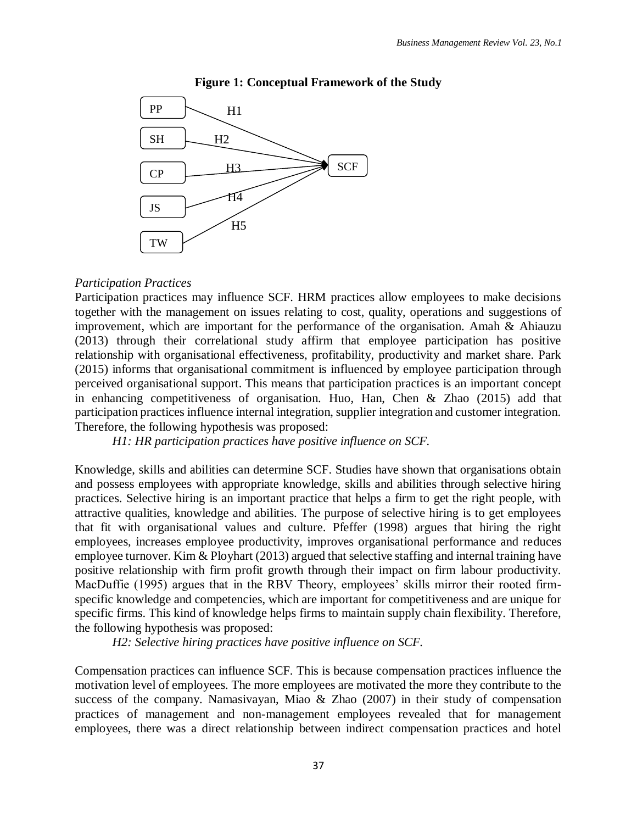

### **Figure 1: Conceptual Framework of the Study**

#### *Participation Practices*

Participation practices may influence SCF. HRM practices allow employees to make decisions together with the management on issues relating to cost, quality, operations and suggestions of improvement, which are important for the performance of the organisation. Amah & Ahiauzu (2013) through their correlational study affirm that employee participation has positive relationship with organisational effectiveness, profitability, productivity and market share. Park (2015) informs that organisational commitment is influenced by employee participation through perceived organisational support. This means that participation practices is an important concept in enhancing competitiveness of organisation. Huo, Han, Chen & Zhao (2015) add that participation practices influence internal integration, supplier integration and customer integration. Therefore, the following hypothesis was proposed:

*H1: HR participation practices have positive influence on SCF.*

Knowledge, skills and abilities can determine SCF. Studies have shown that organisations obtain and possess employees with appropriate knowledge, skills and abilities through selective hiring practices. Selective hiring is an important practice that helps a firm to get the right people, with attractive qualities, knowledge and abilities. The purpose of selective hiring is to get employees that fit with organisational values and culture. Pfeffer (1998) argues that hiring the right employees, increases employee productivity, improves organisational performance and reduces employee turnover. Kim & Ployhart (2013) argued that selective staffing and internal training have positive relationship with firm profit growth through their impact on firm labour productivity. MacDuffie (1995) argues that in the RBV Theory, employees' skills mirror their rooted firmspecific knowledge and competencies, which are important for competitiveness and are unique for specific firms. This kind of knowledge helps firms to maintain supply chain flexibility. Therefore, the following hypothesis was proposed:

*H2: Selective hiring practices have positive influence on SCF.*

Compensation practices can influence SCF. This is because compensation practices influence the motivation level of employees. The more employees are motivated the more they contribute to the success of the company. Namasivayan, Miao & Zhao (2007) in their study of compensation practices of management and non-management employees revealed that for management employees, there was a direct relationship between indirect compensation practices and hotel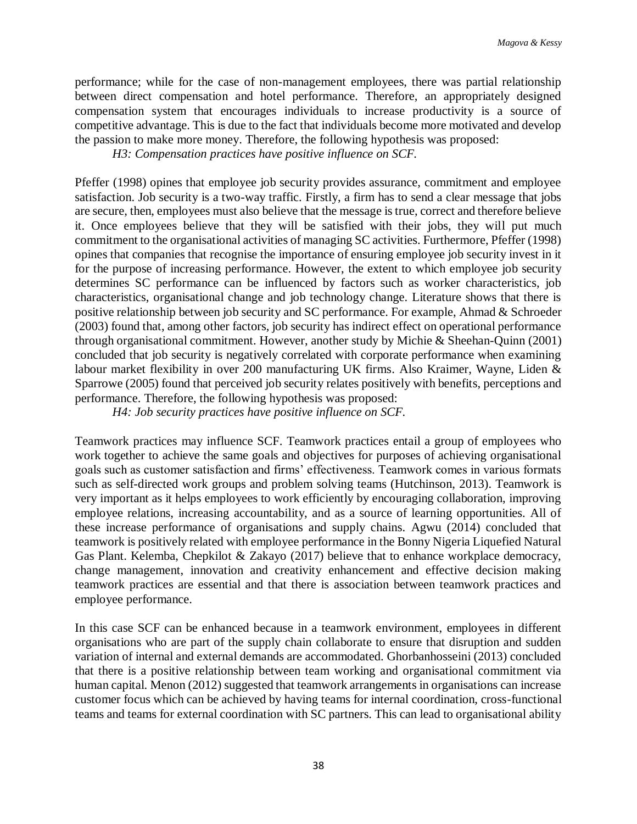performance; while for the case of non-management employees, there was partial relationship between direct compensation and hotel performance. Therefore, an appropriately designed compensation system that encourages individuals to increase productivity is a source of competitive advantage. This is due to the fact that individuals become more motivated and develop the passion to make more money. Therefore, the following hypothesis was proposed:

*H3: Compensation practices have positive influence on SCF.*

Pfeffer (1998) opines that employee job security provides assurance, commitment and employee satisfaction. Job security is a two-way traffic. Firstly, a firm has to send a clear message that jobs are secure, then, employees must also believe that the message is true, correct and therefore believe it. Once employees believe that they will be satisfied with their jobs, they will put much commitment to the organisational activities of managing SC activities. Furthermore, Pfeffer (1998) opines that companies that recognise the importance of ensuring employee job security invest in it for the purpose of increasing performance. However, the extent to which employee job security determines SC performance can be influenced by factors such as worker characteristics, job characteristics, organisational change and job technology change. Literature shows that there is positive relationship between job security and SC performance. For example, Ahmad & Schroeder (2003) found that, among other factors, job security has indirect effect on operational performance through organisational commitment. However, another study by Michie & Sheehan-Quinn (2001) concluded that job security is negatively correlated with corporate performance when examining labour market flexibility in over 200 manufacturing UK firms. Also Kraimer, Wayne, Liden & Sparrowe (2005) found that perceived job security relates positively with benefits, perceptions and performance. Therefore, the following hypothesis was proposed:

*H4: Job security practices have positive influence on SCF.*

Teamwork practices may influence SCF. Teamwork practices entail a group of employees who work together to achieve the same goals and objectives for purposes of achieving organisational goals such as customer satisfaction and firms' effectiveness. Teamwork comes in various formats such as self-directed work groups and problem solving teams (Hutchinson, 2013). Teamwork is very important as it helps employees to work efficiently by encouraging collaboration, improving employee relations, increasing accountability, and as a source of learning opportunities. All of these increase performance of organisations and supply chains. Agwu (2014) concluded that teamwork is positively related with employee performance in the Bonny Nigeria Liquefied Natural Gas Plant. Kelemba, Chepkilot & Zakayo (2017) believe that to enhance workplace democracy, change management, innovation and creativity enhancement and effective decision making teamwork practices are essential and that there is association between teamwork practices and employee performance.

In this case SCF can be enhanced because in a teamwork environment, employees in different organisations who are part of the supply chain collaborate to ensure that disruption and sudden variation of internal and external demands are accommodated. Ghorbanhosseini (2013) concluded that there is a positive relationship between team working and organisational commitment via human capital. Menon (2012) suggested that teamwork arrangements in organisations can increase customer focus which can be achieved by having teams for internal coordination, cross-functional teams and teams for external coordination with SC partners. This can lead to organisational ability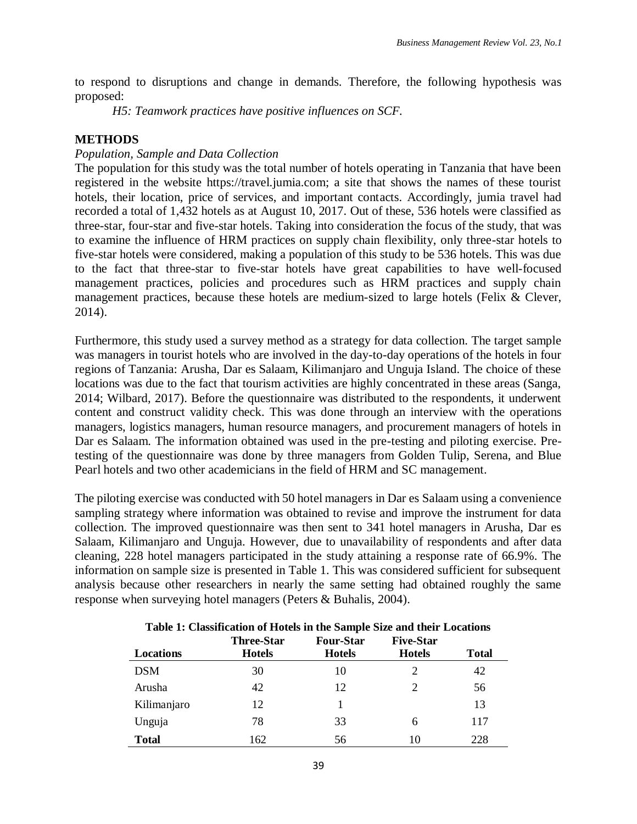to respond to disruptions and change in demands. Therefore, the following hypothesis was proposed:

*H5: Teamwork practices have positive influences on SCF.*

## **METHODS**

## *Population, Sample and Data Collection*

The population for this study was the total number of hotels operating in Tanzania that have been registered in the website https://travel.jumia.com; a site that shows the names of these tourist hotels, their location, price of services, and important contacts. Accordingly, jumia travel had recorded a total of 1,432 hotels as at August 10, 2017. Out of these, 536 hotels were classified as three-star, four-star and five-star hotels. Taking into consideration the focus of the study, that was to examine the influence of HRM practices on supply chain flexibility, only three-star hotels to five-star hotels were considered, making a population of this study to be 536 hotels. This was due to the fact that three-star to five-star hotels have great capabilities to have well-focused management practices, policies and procedures such as HRM practices and supply chain management practices, because these hotels are medium-sized to large hotels (Felix & Clever, 2014).

Furthermore, this study used a survey method as a strategy for data collection. The target sample was managers in tourist hotels who are involved in the day-to-day operations of the hotels in four regions of Tanzania: Arusha, Dar es Salaam, Kilimanjaro and Unguja Island. The choice of these locations was due to the fact that tourism activities are highly concentrated in these areas (Sanga, 2014; Wilbard, 2017). Before the questionnaire was distributed to the respondents, it underwent content and construct validity check. This was done through an interview with the operations managers, logistics managers, human resource managers, and procurement managers of hotels in Dar es Salaam. The information obtained was used in the pre-testing and piloting exercise. Pretesting of the questionnaire was done by three managers from Golden Tulip, Serena, and Blue Pearl hotels and two other academicians in the field of HRM and SC management.

The piloting exercise was conducted with 50 hotel managers in Dar es Salaam using a convenience sampling strategy where information was obtained to revise and improve the instrument for data collection. The improved questionnaire was then sent to 341 hotel managers in Arusha, Dar es Salaam, Kilimanjaro and Unguja. However, due to unavailability of respondents and after data cleaning, 228 hotel managers participated in the study attaining a response rate of 66.9%. The information on sample size is presented in Table 1. This was considered sufficient for subsequent analysis because other researchers in nearly the same setting had obtained roughly the same response when surveying hotel managers (Peters & Buhalis, 2004).

| Table 1: Chassineation of Hotels in the Sample Size and their Eocations<br><b>Five-Star</b><br><b>Three-Star</b><br><b>Four-Star</b> |               |               |               |              |  |  |
|--------------------------------------------------------------------------------------------------------------------------------------|---------------|---------------|---------------|--------------|--|--|
| Locations                                                                                                                            | <b>Hotels</b> | <b>Hotels</b> | <b>Hotels</b> | <b>Total</b> |  |  |
| <b>DSM</b>                                                                                                                           | 30            | 10            | 2             | 42           |  |  |
| Arusha                                                                                                                               | 42            | 12            | 2             | 56           |  |  |
| Kilimanjaro                                                                                                                          | 12            |               |               | 13           |  |  |
| Unguja                                                                                                                               | 78            | 33            | 6             | 117          |  |  |
| <b>Total</b>                                                                                                                         | 162           | 56            | 10            | 228          |  |  |

### **Table 1: Classification of Hotels in the Sample Size and their Locations**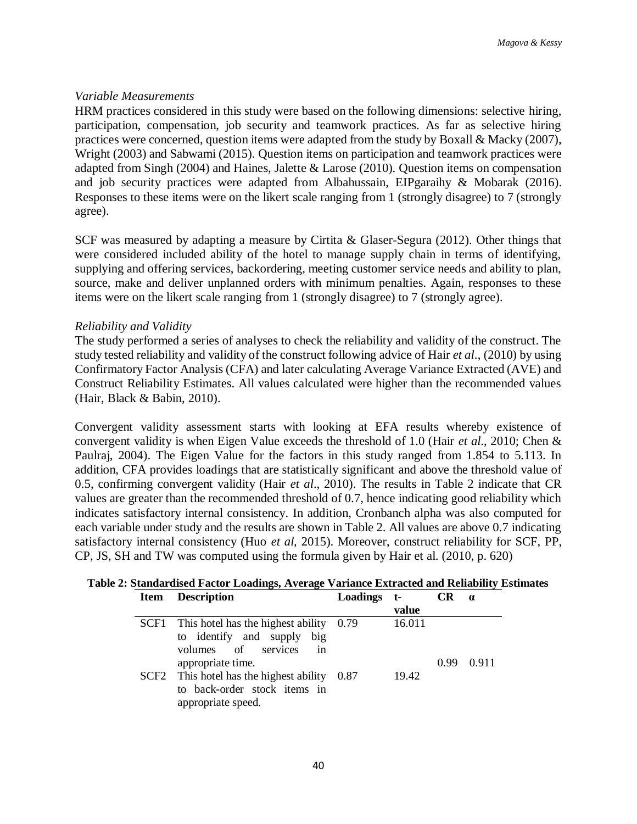### *Variable Measurements*

HRM practices considered in this study were based on the following dimensions: selective hiring, participation, compensation, job security and teamwork practices. As far as selective hiring practices were concerned, question items were adapted from the study by Boxall & Macky (2007), Wright (2003) and Sabwami (2015). Question items on participation and teamwork practices were adapted from Singh (2004) and Haines, Jalette & Larose (2010). Question items on compensation and job security practices were adapted from Albahussain, EIPgaraihy & Mobarak (2016). Responses to these items were on the likert scale ranging from 1 (strongly disagree) to 7 (strongly agree).

SCF was measured by adapting a measure by Cirtita & Glaser-Segura (2012). Other things that were considered included ability of the hotel to manage supply chain in terms of identifying, supplying and offering services, backordering, meeting customer service needs and ability to plan, source, make and deliver unplanned orders with minimum penalties. Again, responses to these items were on the likert scale ranging from 1 (strongly disagree) to 7 (strongly agree).

## *Reliability and Validity*

The study performed a series of analyses to check the reliability and validity of the construct. The study tested reliability and validity of the construct following advice of Hair *et al*., (2010) by using Confirmatory Factor Analysis (CFA) and later calculating Average Variance Extracted (AVE) and Construct Reliability Estimates. All values calculated were higher than the recommended values (Hair, Black & Babin, 2010).

Convergent validity assessment starts with looking at EFA results whereby existence of convergent validity is when Eigen Value exceeds the threshold of 1.0 (Hair *et al*., 2010; Chen & Paulraj, 2004). The Eigen Value for the factors in this study ranged from 1.854 to 5.113. In addition, CFA provides loadings that are statistically significant and above the threshold value of 0.5, confirming convergent validity (Hair *et al*., 2010). The results in Table 2 indicate that CR values are greater than the recommended threshold of 0.7, hence indicating good reliability which indicates satisfactory internal consistency. In addition, Cronbanch alpha was also computed for each variable under study and the results are shown in Table 2. All values are above 0.7 indicating satisfactory internal consistency (Huo *et al,* 2015). Moreover, construct reliability for SCF, PP, CP, JS, SH and TW was computed using the formula given by Hair et al. (2010, p. 620)

| Item | <b>Description</b>                             | Loadings t- |        | <b>CR</b> | $\alpha$ |
|------|------------------------------------------------|-------------|--------|-----------|----------|
|      |                                                |             | value  |           |          |
|      | SCF1 This hotel has the highest ability $0.79$ |             | 16.011 |           |          |
|      | to identify and supply<br>big                  |             |        |           |          |
|      | volumes of<br>services<br>1n                   |             |        |           |          |
|      | appropriate time.                              |             |        | 0.99      | 0.911    |
|      | $SCF2$ This hotel has the highest ability 0.87 |             | 19.42  |           |          |
|      | to back-order stock items in                   |             |        |           |          |
|      | appropriate speed.                             |             |        |           |          |

# **Table 2: Standardised Factor Loadings, Average Variance Extracted and Reliability Estimates**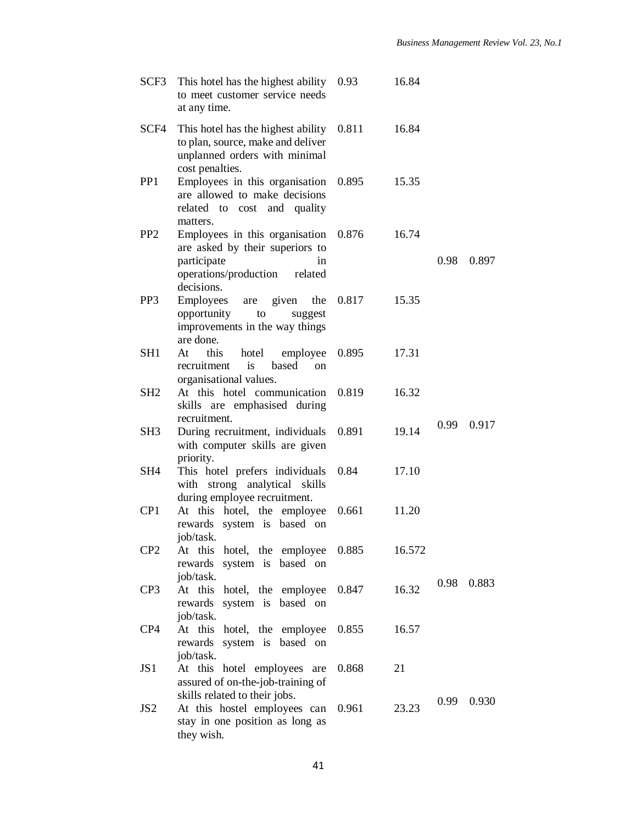| SCF3            | This hotel has the highest ability<br>to meet customer service needs<br>at any time.                                                  | 0.93  | 16.84  |      |       |
|-----------------|---------------------------------------------------------------------------------------------------------------------------------------|-------|--------|------|-------|
| SCF4            | This hotel has the highest ability<br>to plan, source, make and deliver<br>unplanned orders with minimal<br>cost penalties.           | 0.811 | 16.84  |      |       |
| PP <sub>1</sub> | Employees in this organisation<br>are allowed to make decisions<br>related to cost and quality<br>matters.                            | 0.895 | 15.35  |      |       |
| PP <sub>2</sub> | Employees in this organisation<br>are asked by their superiors to<br>participate<br>in<br>operations/production related<br>decisions. | 0.876 | 16.74  | 0.98 | 0.897 |
| PP <sub>3</sub> | Employees<br>are given<br>the<br>opportunity<br>to<br>suggest<br>improvements in the way things<br>are done.                          | 0.817 | 15.35  |      |       |
| SH1             | this<br>At<br>hotel employee<br>recruitment is<br>based<br><sub>on</sub><br>organisational values.                                    | 0.895 | 17.31  |      |       |
| SH2             | At this hotel communication<br>skills are emphasised during<br>recruitment.                                                           | 0.819 | 16.32  |      |       |
| SH3             | During recruitment, individuals<br>with computer skills are given<br>priority.                                                        | 0.891 | 19.14  | 0.99 | 0.917 |
| SH4             | This hotel prefers individuals<br>with strong analytical skills<br>during employee recruitment.                                       | 0.84  | 17.10  |      |       |
| CP <sub>1</sub> | At this hotel, the employee<br>rewards system is based on<br>job/task.                                                                | 0.661 | 11.20  |      |       |
| CP <sub>2</sub> | hotel, the employee<br>At this<br>system is<br>based on<br>rewards<br>job/task.                                                       | 0.885 | 16.572 | 0.98 | 0.883 |
| CP <sub>3</sub> | At this<br>hotel, the employee<br>system is based on<br>rewards<br>job/task.                                                          | 0.847 | 16.32  |      |       |
| CP4             | At this hotel, the employee<br>system is based on<br>rewards<br>job/task.                                                             | 0.855 | 16.57  |      |       |
| JS1             | At this hotel employees are<br>assured of on-the-job-training of<br>skills related to their jobs.                                     | 0.868 | 21     | 0.99 | 0.930 |
| JS <sub>2</sub> | At this hostel employees can<br>stay in one position as long as<br>they wish.                                                         | 0.961 | 23.23  |      |       |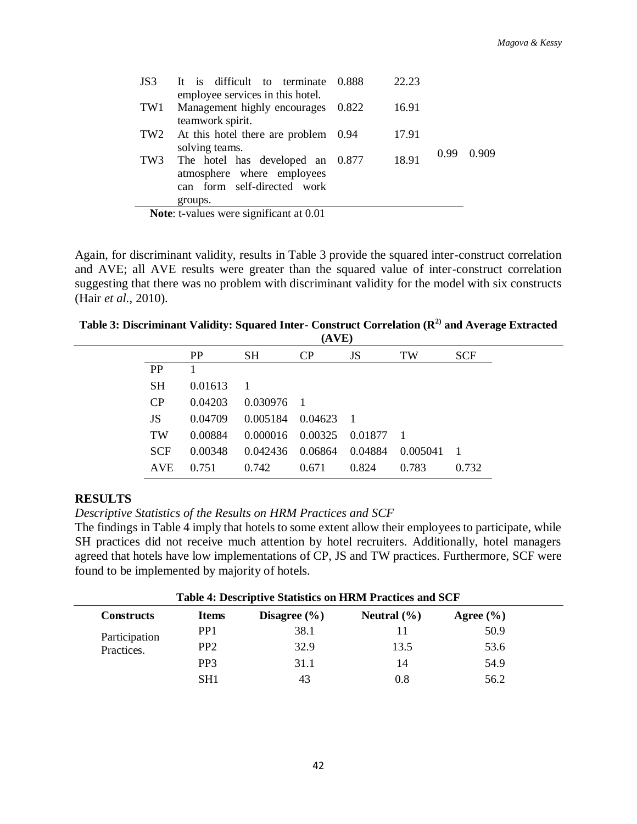| JS3             | It is difficult to terminate 0.888      | 22.23 |      |       |
|-----------------|-----------------------------------------|-------|------|-------|
|                 | employee services in this hotel.        |       |      |       |
| TW1             | Management highly encourages 0.822      | 16.91 |      |       |
|                 | teamwork spirit.                        |       |      |       |
| TW <sub>2</sub> | At this hotel there are problem 0.94    | 17.91 |      |       |
|                 | solving teams.                          |       | 0.99 | 0.909 |
|                 | TW3 The hotel has developed an 0.877    | 18.91 |      |       |
|                 | atmosphere where employees              |       |      |       |
|                 | can form self-directed work             |       |      |       |
|                 | groups.                                 |       |      |       |
|                 | Note: t-values were significant at 0.01 |       |      |       |

Again, for discriminant validity, results in Table 3 provide the squared inter-construct correlation and AVE; all AVE results were greater than the squared value of inter-construct correlation suggesting that there was no problem with discriminant validity for the model with six constructs (Hair *et al.,* 2010).

**Table 3: Discriminant Validity: Squared Inter- Construct Correlation (R2) and Average Extracted (AVE)**

|            |           |                                  | $1 - 1$ |         |          |            |
|------------|-----------|----------------------------------|---------|---------|----------|------------|
|            | <b>PP</b> | SН                               | CP      | JS      | TW       | <b>SCF</b> |
| PP         |           |                                  |         |         |          |            |
| <b>SH</b>  | 0.01613   |                                  |         |         |          |            |
| CP         | 0.04203   | $0.030976$ 1                     |         |         |          |            |
| JS         | 0.04709   | $0.005184$ $0.04623$ 1           |         |         |          |            |
| <b>TW</b>  | 0.00884   | $0.000016$ $0.00325$ $0.01877$ 1 |         |         |          |            |
| <b>SCF</b> | 0.00348   | 0.042436                         | 0.06864 | 0.04884 | 0.005041 |            |
| <b>AVE</b> | 0.751     | 0.742                            | 0.671   | 0.824   | 0.783    | 0.732      |
|            |           |                                  |         |         |          |            |

## **RESULTS**

*Descriptive Statistics of the Results on HRM Practices and SCF*

The findings in Table 4 imply that hotels to some extent allow their employees to participate, while SH practices did not receive much attention by hotel recruiters. Additionally, hotel managers agreed that hotels have low implementations of CP, JS and TW practices. Furthermore, SCF were found to be implemented by majority of hotels.

| <b>Table 4: Descriptive Statistics on HRM Practices and SCF</b> |                 |                  |                 |               |  |  |
|-----------------------------------------------------------------|-----------------|------------------|-----------------|---------------|--|--|
| <b>Constructs</b>                                               | <b>Items</b>    | Disagree $(\% )$ | Neutral $(\% )$ | Agree $(\% )$ |  |  |
| Participation                                                   | PP <sub>1</sub> | 38.1             |                 | 50.9          |  |  |
| Practices.                                                      | PP <sub>2</sub> | 32.9             | 13.5            | 53.6          |  |  |
|                                                                 | PP3             | 31.1             | 14              | 54.9          |  |  |
|                                                                 | SH <sub>1</sub> | 43               | 0.8             | 56.2          |  |  |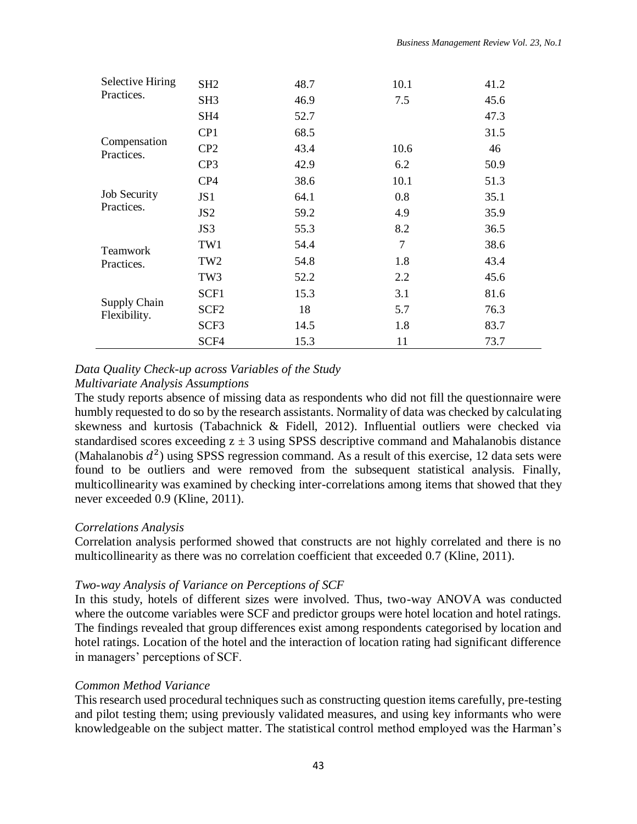| <b>Selective Hiring</b>      | SH <sub>2</sub>  | 48.7 | 10.1 | 41.2 |
|------------------------------|------------------|------|------|------|
| Practices.                   | SH <sub>3</sub>  | 46.9 | 7.5  | 45.6 |
|                              | SH <sub>4</sub>  | 52.7 |      | 47.3 |
|                              | CP1              | 68.5 |      | 31.5 |
| Compensation<br>Practices.   | CP2              | 43.4 | 10.6 | 46   |
|                              | CP3              | 42.9 | 6.2  | 50.9 |
|                              | CP4              | 38.6 | 10.1 | 51.3 |
| <b>Job Security</b>          | JS <sub>1</sub>  | 64.1 | 0.8  | 35.1 |
| Practices.                   | JS <sub>2</sub>  | 59.2 | 4.9  | 35.9 |
|                              | JS3              | 55.3 | 8.2  | 36.5 |
| <b>Teamwork</b>              | TW1              | 54.4 | 7    | 38.6 |
| Practices.                   | TW <sub>2</sub>  | 54.8 | 1.8  | 43.4 |
|                              | TW <sub>3</sub>  | 52.2 | 2.2  | 45.6 |
|                              | SCF1             | 15.3 | 3.1  | 81.6 |
| Supply Chain<br>Flexibility. | SCF <sub>2</sub> | 18   | 5.7  | 76.3 |
|                              | SCF3             | 14.5 | 1.8  | 83.7 |
|                              | SCF4             | 15.3 | 11   | 73.7 |

## *Data Quality Check-up across Variables of the Study*

## *Multivariate Analysis Assumptions*

The study reports absence of missing data as respondents who did not fill the questionnaire were humbly requested to do so by the research assistants. Normality of data was checked by calculating skewness and kurtosis (Tabachnick & Fidell, 2012). Influential outliers were checked via standardised scores exceeding  $z \pm 3$  using SPSS descriptive command and Mahalanobis distance (Mahalanobis  $d^2$ ) using SPSS regression command. As a result of this exercise, 12 data sets were found to be outliers and were removed from the subsequent statistical analysis. Finally, multicollinearity was examined by checking inter-correlations among items that showed that they never exceeded 0.9 (Kline, 2011).

## *Correlations Analysis*

Correlation analysis performed showed that constructs are not highly correlated and there is no multicollinearity as there was no correlation coefficient that exceeded 0.7 (Kline, 2011).

## *Two-way Analysis of Variance on Perceptions of SCF*

In this study, hotels of different sizes were involved. Thus, two-way ANOVA was conducted where the outcome variables were SCF and predictor groups were hotel location and hotel ratings. The findings revealed that group differences exist among respondents categorised by location and hotel ratings. Location of the hotel and the interaction of location rating had significant difference in managers' perceptions of SCF.

## *Common Method Variance*

This research used procedural techniques such as constructing question items carefully, pre-testing and pilot testing them; using previously validated measures, and using key informants who were knowledgeable on the subject matter. The statistical control method employed was the Harman's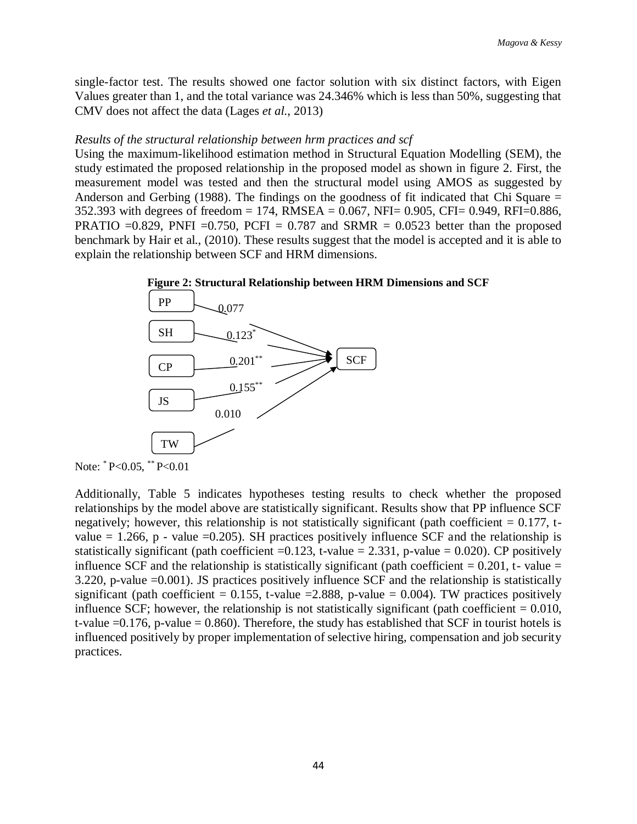single-factor test. The results showed one factor solution with six distinct factors, with Eigen Values greater than 1, and the total variance was 24.346% which is less than 50%, suggesting that CMV does not affect the data (Lages *et al.*, 2013)

### *Results of the structural relationship between hrm practices and scf*

Using the maximum-likelihood estimation method in Structural Equation Modelling (SEM), the study estimated the proposed relationship in the proposed model as shown in figure 2. First, the measurement model was tested and then the structural model using AMOS as suggested by Anderson and Gerbing (1988). The findings on the goodness of fit indicated that Chi Square = 352.393 with degrees of freedom = 174, RMSEA = 0.067, NFI= 0.905, CFI= 0.949, RFI=0.886, PRATIO =0.829, PNFI =0.750, PCFI = 0.787 and SRMR = 0.0523 better than the proposed benchmark by Hair et al., (2010). These results suggest that the model is accepted and it is able to explain the relationship between SCF and HRM dimensions.





Additionally, Table 5 indicates hypotheses testing results to check whether the proposed relationships by the model above are statistically significant. Results show that PP influence SCF negatively; however, this relationship is not statistically significant (path coefficient  $= 0.177$ , tvalue  $= 1.266$ , p - value  $= 0.205$ ). SH practices positively influence SCF and the relationship is statistically significant (path coefficient  $=0.123$ , t-value  $= 2.331$ , p-value  $= 0.020$ ). CP positively influence SCF and the relationship is statistically significant (path coefficient  $= 0.201$ , t- value  $=$ 3.220, p-value =0.001). JS practices positively influence SCF and the relationship is statistically significant (path coefficient = 0.155, t-value = 2.888, p-value = 0.004). TW practices positively influence SCF; however, the relationship is not statistically significant (path coefficient  $= 0.010$ , t-value  $=0.176$ , p-value  $= 0.860$ ). Therefore, the study has established that SCF in tourist hotels is influenced positively by proper implementation of selective hiring, compensation and job security practices.

Note: \* P<0.05, \*\* P<0.01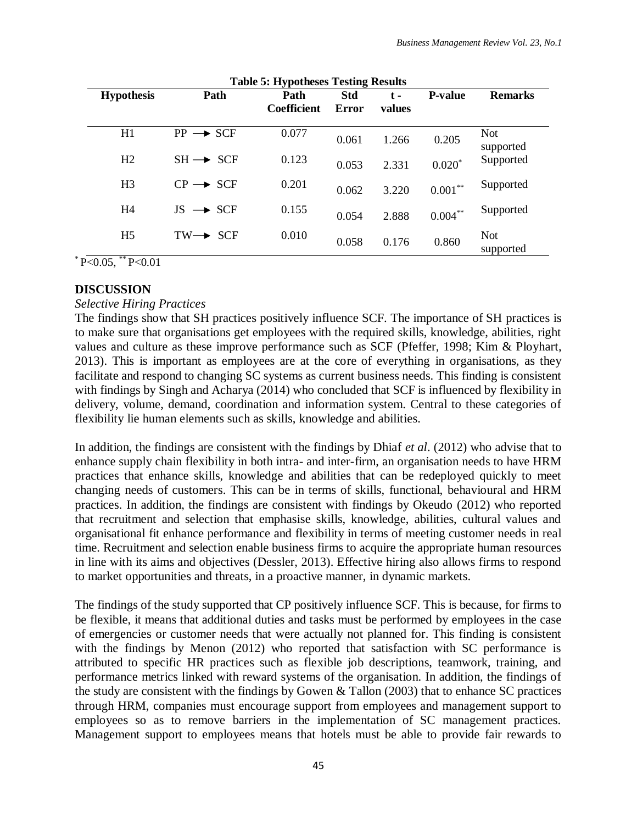| Table 5: Hypotheses Testing Results |                      |                    |            |        |                |                         |  |
|-------------------------------------|----------------------|--------------------|------------|--------|----------------|-------------------------|--|
| <b>Hypothesis</b>                   | Path                 | Path               | <b>Std</b> | $t -$  | <b>P-value</b> | <b>Remarks</b>          |  |
|                                     |                      | <b>Coefficient</b> | Error      | values |                |                         |  |
| H1                                  | $PP \rightarrow SCF$ | 0.077              | 0.061      | 1.266  | 0.205          | <b>Not</b><br>supported |  |
| H2                                  | $SH \rightarrow SCF$ | 0.123              | 0.053      | 2.331  | $0.020*$       | Supported               |  |
| H <sub>3</sub>                      | $CP \rightarrow SCF$ | 0.201              | 0.062      | 3.220  | $0.001***$     | Supported               |  |
| H <sub>4</sub>                      | $JS \rightarrow SCF$ | 0.155              | 0.054      | 2.888  | $0.004***$     | Supported               |  |
| H <sub>5</sub>                      | $TW \rightarrow SCF$ | 0.010              | 0.058      | 0.176  | 0.860          | <b>Not</b><br>supported |  |

**Table 5: Hypotheses Testing Results**

 $*$  P<0.05,  $*$  P < 0.01

### **DISCUSSION**

### *Selective Hiring Practices*

The findings show that SH practices positively influence SCF. The importance of SH practices is to make sure that organisations get employees with the required skills, knowledge, abilities, right values and culture as these improve performance such as SCF (Pfeffer, 1998; Kim & Ployhart, 2013). This is important as employees are at the core of everything in organisations, as they facilitate and respond to changing SC systems as current business needs. This finding is consistent with findings by Singh and Acharya (2014) who concluded that SCF is influenced by flexibility in delivery, volume, demand, coordination and information system. Central to these categories of flexibility lie human elements such as skills, knowledge and abilities.

In addition, the findings are consistent with the findings by Dhiaf *et al*. (2012) who advise that to enhance supply chain flexibility in both intra- and inter-firm, an organisation needs to have HRM practices that enhance skills, knowledge and abilities that can be redeployed quickly to meet changing needs of customers. This can be in terms of skills, functional, behavioural and HRM practices. In addition, the findings are consistent with findings by Okeudo (2012) who reported that recruitment and selection that emphasise skills, knowledge, abilities, cultural values and organisational fit enhance performance and flexibility in terms of meeting customer needs in real time. Recruitment and selection enable business firms to acquire the appropriate human resources in line with its aims and objectives (Dessler, 2013). Effective hiring also allows firms to respond to market opportunities and threats, in a proactive manner, in dynamic markets.

The findings of the study supported that CP positively influence SCF. This is because, for firms to be flexible, it means that additional duties and tasks must be performed by employees in the case of emergencies or customer needs that were actually not planned for. This finding is consistent with the findings by Menon (2012) who reported that satisfaction with SC performance is attributed to specific HR practices such as flexible job descriptions, teamwork, training, and performance metrics linked with reward systems of the organisation. In addition, the findings of the study are consistent with the findings by Gowen & Tallon (2003) that to enhance SC practices through HRM, companies must encourage support from employees and management support to employees so as to remove barriers in the implementation of SC management practices. Management support to employees means that hotels must be able to provide fair rewards to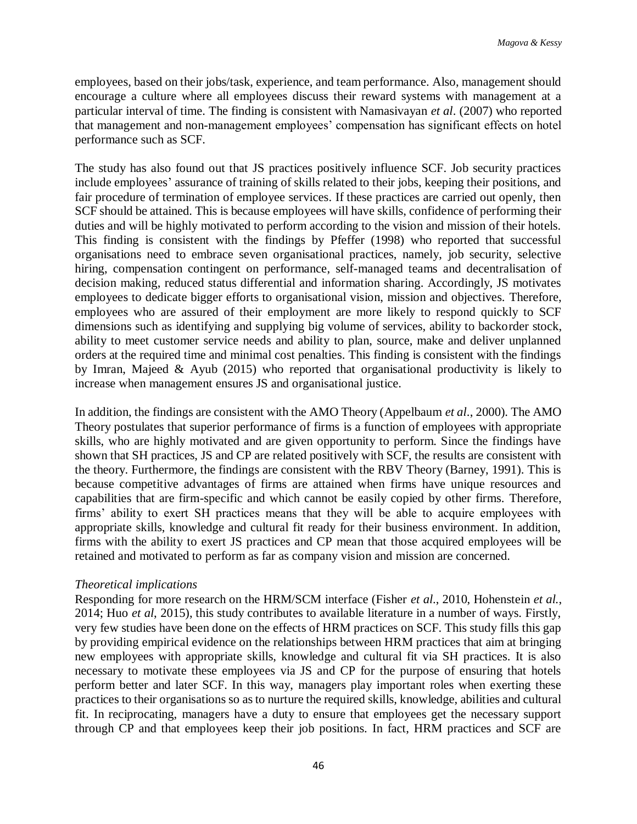employees, based on their jobs/task, experience, and team performance. Also, management should encourage a culture where all employees discuss their reward systems with management at a particular interval of time. The finding is consistent with Namasivayan *et al*. (2007) who reported that management and non-management employees' compensation has significant effects on hotel performance such as SCF.

The study has also found out that JS practices positively influence SCF. Job security practices include employees' assurance of training of skills related to their jobs, keeping their positions, and fair procedure of termination of employee services. If these practices are carried out openly, then SCF should be attained. This is because employees will have skills, confidence of performing their duties and will be highly motivated to perform according to the vision and mission of their hotels. This finding is consistent with the findings by Pfeffer (1998) who reported that successful organisations need to embrace seven organisational practices, namely, job security, selective hiring, compensation contingent on performance, self-managed teams and decentralisation of decision making, reduced status differential and information sharing. Accordingly, JS motivates employees to dedicate bigger efforts to organisational vision, mission and objectives. Therefore, employees who are assured of their employment are more likely to respond quickly to SCF dimensions such as identifying and supplying big volume of services, ability to backorder stock, ability to meet customer service needs and ability to plan, source, make and deliver unplanned orders at the required time and minimal cost penalties. This finding is consistent with the findings by Imran, Majeed & Ayub (2015) who reported that organisational productivity is likely to increase when management ensures JS and organisational justice.

In addition, the findings are consistent with the AMO Theory (Appelbaum *et al*., 2000). The AMO Theory postulates that superior performance of firms is a function of employees with appropriate skills, who are highly motivated and are given opportunity to perform. Since the findings have shown that SH practices, JS and CP are related positively with SCF, the results are consistent with the theory. Furthermore, the findings are consistent with the RBV Theory (Barney, 1991). This is because competitive advantages of firms are attained when firms have unique resources and capabilities that are firm-specific and which cannot be easily copied by other firms. Therefore, firms' ability to exert SH practices means that they will be able to acquire employees with appropriate skills, knowledge and cultural fit ready for their business environment. In addition, firms with the ability to exert JS practices and CP mean that those acquired employees will be retained and motivated to perform as far as company vision and mission are concerned.

## *Theoretical implications*

Responding for more research on the HRM/SCM interface (Fisher *et al*., 2010, Hohenstein *et al.*, 2014; Huo *et al*, 2015), this study contributes to available literature in a number of ways. Firstly, very few studies have been done on the effects of HRM practices on SCF. This study fills this gap by providing empirical evidence on the relationships between HRM practices that aim at bringing new employees with appropriate skills, knowledge and cultural fit via SH practices. It is also necessary to motivate these employees via JS and CP for the purpose of ensuring that hotels perform better and later SCF. In this way, managers play important roles when exerting these practices to their organisations so as to nurture the required skills, knowledge, abilities and cultural fit. In reciprocating, managers have a duty to ensure that employees get the necessary support through CP and that employees keep their job positions. In fact, HRM practices and SCF are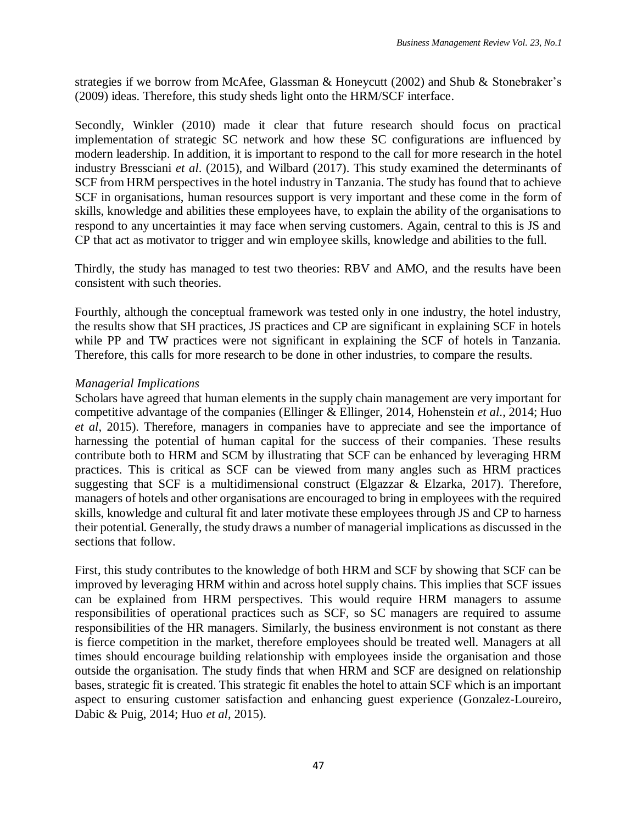strategies if we borrow from McAfee, Glassman & Honeycutt (2002) and Shub & Stonebraker's (2009) ideas. Therefore, this study sheds light onto the HRM/SCF interface.

Secondly, Winkler (2010) made it clear that future research should focus on practical implementation of strategic SC network and how these SC configurations are influenced by modern leadership. In addition, it is important to respond to the call for more research in the hotel industry Bressciani *et al*. (2015), and Wilbard (2017). This study examined the determinants of SCF from HRM perspectives in the hotel industry in Tanzania. The study has found that to achieve SCF in organisations, human resources support is very important and these come in the form of skills, knowledge and abilities these employees have, to explain the ability of the organisations to respond to any uncertainties it may face when serving customers. Again, central to this is JS and CP that act as motivator to trigger and win employee skills, knowledge and abilities to the full.

Thirdly, the study has managed to test two theories: RBV and AMO, and the results have been consistent with such theories.

Fourthly, although the conceptual framework was tested only in one industry, the hotel industry, the results show that SH practices, JS practices and CP are significant in explaining SCF in hotels while PP and TW practices were not significant in explaining the SCF of hotels in Tanzania. Therefore, this calls for more research to be done in other industries, to compare the results.

### *Managerial Implications*

Scholars have agreed that human elements in the supply chain management are very important for competitive advantage of the companies (Ellinger & Ellinger, 2014, Hohenstein *et al*., 2014; Huo *et al*, 2015). Therefore, managers in companies have to appreciate and see the importance of harnessing the potential of human capital for the success of their companies. These results contribute both to HRM and SCM by illustrating that SCF can be enhanced by leveraging HRM practices. This is critical as SCF can be viewed from many angles such as HRM practices suggesting that SCF is a multidimensional construct (Elgazzar & Elzarka, 2017). Therefore, managers of hotels and other organisations are encouraged to bring in employees with the required skills, knowledge and cultural fit and later motivate these employees through JS and CP to harness their potential. Generally, the study draws a number of managerial implications as discussed in the sections that follow.

First, this study contributes to the knowledge of both HRM and SCF by showing that SCF can be improved by leveraging HRM within and across hotel supply chains. This implies that SCF issues can be explained from HRM perspectives. This would require HRM managers to assume responsibilities of operational practices such as SCF, so SC managers are required to assume responsibilities of the HR managers. Similarly, the business environment is not constant as there is fierce competition in the market, therefore employees should be treated well. Managers at all times should encourage building relationship with employees inside the organisation and those outside the organisation. The study finds that when HRM and SCF are designed on relationship bases, strategic fit is created. This strategic fit enables the hotel to attain SCF which is an important aspect to ensuring customer satisfaction and enhancing guest experience (Gonzalez-Loureiro, Dabic & Puig, 2014; Huo *et al*, 2015).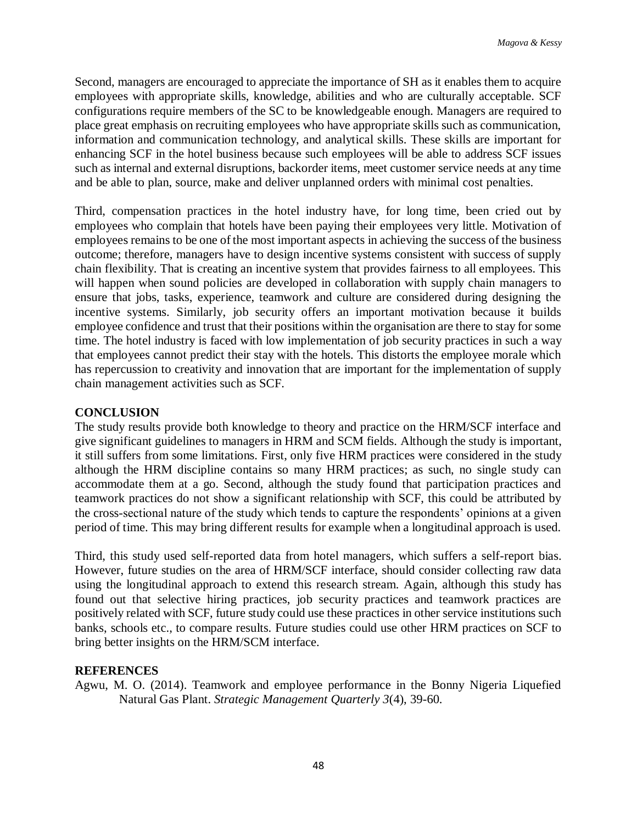Second, managers are encouraged to appreciate the importance of SH as it enables them to acquire employees with appropriate skills, knowledge, abilities and who are culturally acceptable. SCF configurations require members of the SC to be knowledgeable enough. Managers are required to place great emphasis on recruiting employees who have appropriate skills such as communication, information and communication technology, and analytical skills. These skills are important for enhancing SCF in the hotel business because such employees will be able to address SCF issues such as internal and external disruptions, backorder items, meet customer service needs at any time and be able to plan, source, make and deliver unplanned orders with minimal cost penalties.

Third, compensation practices in the hotel industry have, for long time, been cried out by employees who complain that hotels have been paying their employees very little. Motivation of employees remains to be one of the most important aspects in achieving the success of the business outcome; therefore, managers have to design incentive systems consistent with success of supply chain flexibility. That is creating an incentive system that provides fairness to all employees. This will happen when sound policies are developed in collaboration with supply chain managers to ensure that jobs, tasks, experience, teamwork and culture are considered during designing the incentive systems. Similarly, job security offers an important motivation because it builds employee confidence and trust that their positions within the organisation are there to stay for some time. The hotel industry is faced with low implementation of job security practices in such a way that employees cannot predict their stay with the hotels. This distorts the employee morale which has repercussion to creativity and innovation that are important for the implementation of supply chain management activities such as SCF.

## **CONCLUSION**

The study results provide both knowledge to theory and practice on the HRM/SCF interface and give significant guidelines to managers in HRM and SCM fields. Although the study is important, it still suffers from some limitations. First, only five HRM practices were considered in the study although the HRM discipline contains so many HRM practices; as such, no single study can accommodate them at a go. Second, although the study found that participation practices and teamwork practices do not show a significant relationship with SCF, this could be attributed by the cross-sectional nature of the study which tends to capture the respondents' opinions at a given period of time. This may bring different results for example when a longitudinal approach is used.

Third, this study used self-reported data from hotel managers, which suffers a self-report bias. However, future studies on the area of HRM/SCF interface, should consider collecting raw data using the longitudinal approach to extend this research stream. Again, although this study has found out that selective hiring practices, job security practices and teamwork practices are positively related with SCF, future study could use these practices in other service institutions such banks, schools etc., to compare results. Future studies could use other HRM practices on SCF to bring better insights on the HRM/SCM interface.

### **REFERENCES**

Agwu, M. O. (2014). Teamwork and employee performance in the Bonny Nigeria Liquefied Natural Gas Plant. *Strategic Management Quarterly 3*(4), 39-60.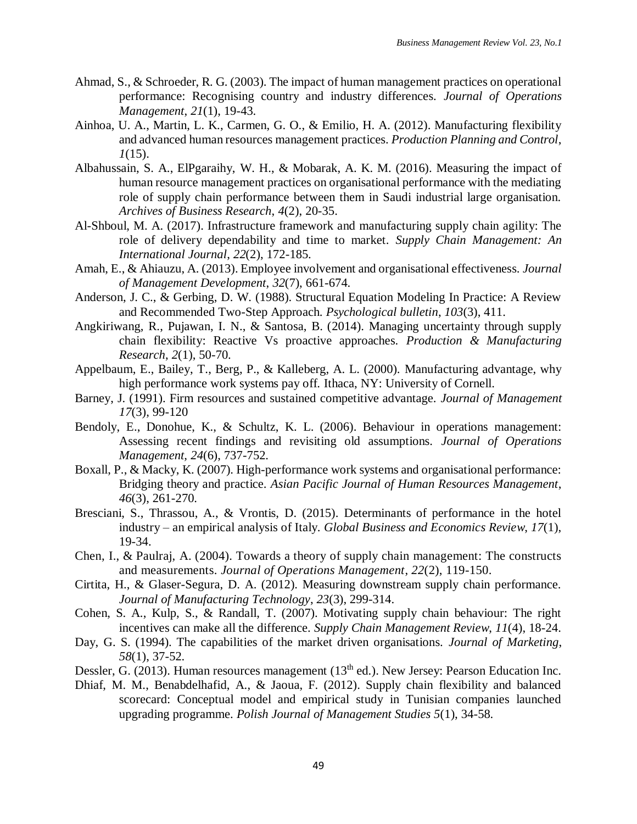- Ahmad, S., & Schroeder, R. G. (2003). The impact of human management practices on operational performance: Recognising country and industry differences. *Journal of Operations Management*, *21*(1), 19-43.
- Ainhoa, U. A., Martin, L. K., Carmen, G. O., & Emilio, H. A. (2012). Manufacturing flexibility and advanced human resources management practices. *Production Planning and Control*, *1*(15).
- Albahussain, S. A., ElPgaraihy, W. H., & Mobarak, A. K. M. (2016). Measuring the impact of human resource management practices on organisational performance with the mediating role of supply chain performance between them in Saudi industrial large organisation. *Archives of Business Research*, *4*(2), 20-35.
- Al-Shboul, M. A. (2017). Infrastructure framework and manufacturing supply chain agility: The role of delivery dependability and time to market. *Supply Chain Management: An International Journal*, *22*(2), 172-185.
- Amah, E., & Ahiauzu, A. (2013). Employee involvement and organisational effectiveness. *Journal of Management Development*, *32*(7), 661-674.
- Anderson, J. C., & Gerbing, D. W. (1988). Structural Equation Modeling In Practice: A Review and Recommended Two-Step Approach. *Psychological bulletin*, *103*(3), 411.
- Angkiriwang, R., Pujawan, I. N., & Santosa, B. (2014). Managing uncertainty through supply chain flexibility: Reactive Vs proactive approaches. *Production & Manufacturing Research*, *2*(1), 50-70.
- Appelbaum, E., Bailey, T., Berg, P., & Kalleberg, A. L. (2000). Manufacturing advantage, why high performance work systems pay off. Ithaca, NY: University of Cornell.
- Barney, J. (1991). Firm resources and sustained competitive advantage. *Journal of Management 17*(3), 99-120
- Bendoly, E., Donohue, K., & Schultz, K. L. (2006). Behaviour in operations management: Assessing recent findings and revisiting old assumptions. *Journal of Operations Management, 24*(6), 737-752.
- Boxall, P., & Macky, K. (2007). High-performance work systems and organisational performance: Bridging theory and practice. *Asian Pacific Journal of Human Resources Management*, *46*(3), 261-270.
- Bresciani, S., Thrassou, A., & Vrontis, D. (2015). Determinants of performance in the hotel industry – an empirical analysis of Italy. *Global Business and Economics Review*, *17*(1), 19-34.
- Chen, I., & Paulraj, A. (2004). Towards a theory of supply chain management: The constructs and measurements. *Journal of Operations Management*, *22*(2), 119-150.
- Cirtita, H., & Glaser-Segura, D. A. (2012). Measuring downstream supply chain performance. *Journal of Manufacturing Technology*, *23*(3), 299-314.
- Cohen, S. A., Kulp, S., & Randall, T. (2007). Motivating supply chain behaviour: The right incentives can make all the difference. *Supply Chain Management Review*, *11*(4), 18-24.
- Day, G. S. (1994). The capabilities of the market driven organisations. *Journal of Marketing*, *58*(1), 37-52.
- Dessler, G. (2013). Human resources management (13<sup>th</sup> ed.). New Jersey: Pearson Education Inc.
- Dhiaf, M. M., Benabdelhafid, A., & Jaoua, F. (2012). Supply chain flexibility and balanced scorecard: Conceptual model and empirical study in Tunisian companies launched upgrading programme. *Polish Journal of Management Studies 5*(1), 34-58.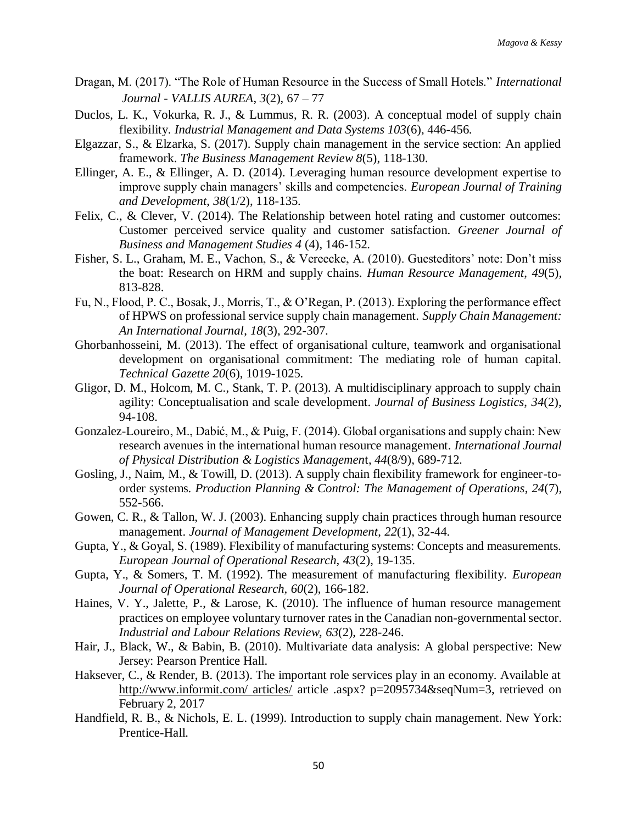- Dragan, M. (2017). "The Role of Human Resource in the Success of Small Hotels." *International Journal - VALLIS AUREA*, *3*(2), 67 – 77
- Duclos, L. K., Vokurka, R. J., & Lummus, R. R. (2003). A conceptual model of supply chain flexibility. *Industrial Management and Data Systems 103*(6), 446-456.
- Elgazzar, S., & Elzarka, S. (2017). Supply chain management in the service section: An applied framework. *The Business Management Review 8*(5), 118-130.
- Ellinger, A. E., & Ellinger, A. D. (2014). Leveraging human resource development expertise to improve supply chain managers' skills and competencies. *European Journal of Training and Development*, *38*(1/2), 118-135.
- Felix, C., & Clever, V. (2014). The Relationship between hotel rating and customer outcomes: Customer perceived service quality and customer satisfaction. *Greener Journal of Business and Management Studies 4* (4), 146-152.
- Fisher, S. L., Graham, M. E., Vachon, S., & Vereecke, A. (2010). Guesteditors' note: Don't miss the boat: Research on HRM and supply chains. *Human Resource Management*, *49*(5), 813-828.
- Fu, N., Flood, P. C., Bosak, J., Morris, T., & O'Regan, P. (2013). Exploring the performance effect of HPWS on professional service supply chain management. *Supply Chain Management: An International Journal*, *18*(3), 292-307.
- Ghorbanhosseini, M. (2013). The effect of organisational culture, teamwork and organisational development on organisational commitment: The mediating role of human capital. *Technical Gazette 20*(6), 1019-1025.
- Gligor, D. M., Holcom, M. C., Stank, T. P. (2013). A multidisciplinary approach to supply chain agility: Conceptualisation and scale development. *Journal of Business Logistics*, *34*(2), 94-108.
- Gonzalez-Loureiro, M., Dabić, M., & Puig, F. (2014). Global organisations and supply chain: New research avenues in the international human resource management. *International Journal of Physical Distribution & Logistics Managemen*t, *44*(8/9), 689-712.
- Gosling, J., Naim, M., & Towill, D. (2013). A supply chain flexibility framework for engineer-toorder systems. *Production Planning & Control: The Management of Operations*, *24*(7), 552-566.
- Gowen, C. R., & Tallon, W. J. (2003). Enhancing supply chain practices through human resource management. *Journal of Management Development*, *22*(1), 32-44.
- Gupta, Y., & Goyal, S. (1989). Flexibility of manufacturing systems: Concepts and measurements. *European Journal of Operational Research, 43*(2), 19-135.
- Gupta, Y., & Somers, T. M. (1992). The measurement of manufacturing flexibility. *European Journal of Operational Research, 60*(2), 166-182.
- Haines, V. Y., Jalette, P., & Larose, K. (2010). The influence of human resource management practices on employee voluntary turnover rates in the Canadian non-governmental sector. *Industrial and Labour Relations Review, 63*(2), 228-246.
- Hair, J., Black, W., & Babin, B. (2010). Multivariate data analysis: A global perspective: New Jersey: Pearson Prentice Hall.
- Haksever, C., & Render, B. (2013). The important role services play in an economy. Available at [http://www.informit.com/ articles/](http://www.informit.com/%20articles/) article .aspx? p=2095734&seqNum=3, retrieved on February 2, 2017
- Handfield, R. B., & Nichols, E. L. (1999). Introduction to supply chain management. New York: Prentice-Hall.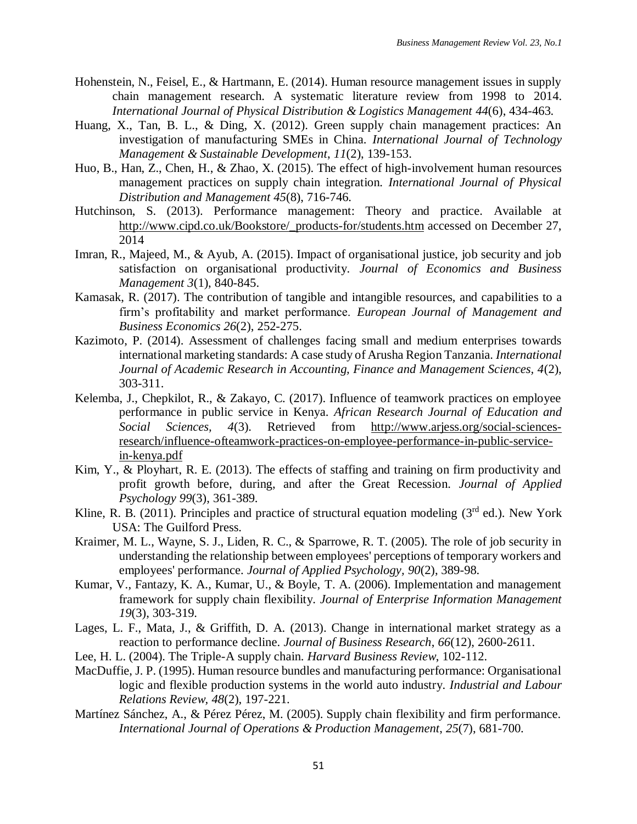- Hohenstein, N., Feisel, E., & Hartmann, E. (2014). Human resource management issues in supply chain management research. A systematic literature review from 1998 to 2014. *International Journal of Physical Distribution & Logistics Management 44*(6), 434-463.
- Huang, X., Tan, B. L., & Ding, X. (2012). Green supply chain management practices: An investigation of manufacturing SMEs in China. *International Journal of Technology Management & Sustainable Development*, *11*(2), 139-153.
- Huo, B., Han, Z., Chen, H., & Zhao, X. (2015). The effect of high-involvement human resources management practices on supply chain integration. *International Journal of Physical Distribution and Management 45*(8), 716-746.
- Hutchinson, S. (2013). Performance management: Theory and practice. Available at http://www.cipd.co.uk/Bookstore/\_products-for/students.htm accessed on December 27, 2014
- Imran, R., Majeed, M., & Ayub, A. (2015). Impact of organisational justice, job security and job satisfaction on organisational productivity. *Journal of Economics and Business Management 3*(1), 840-845.
- Kamasak, R. (2017). The contribution of tangible and intangible resources, and capabilities to a firm's profitability and market performance. *European Journal of Management and Business Economics 26*(2), 252-275.
- Kazimoto, P. (2014). Assessment of challenges facing small and medium enterprises towards international marketing standards: A case study of Arusha Region Tanzania. *International Journal of Academic Research in Accounting, Finance and Management Sciences, 4*(2), 303-311.
- Kelemba, J., Chepkilot, R., & Zakayo, C. (2017). Influence of teamwork practices on employee performance in public service in Kenya. *African Research Journal of Education and Social Sciences, 4*(3). Retrieved from [http://www.arjess.org/social-sciences](http://www.arjess.org/social-sciences-research/influence-ofteamwork-practices-on-employee-performance-in-public-service-in-kenya.pdf)[research/influence-ofteamwork-practices-on-employee-performance-in-public-service](http://www.arjess.org/social-sciences-research/influence-ofteamwork-practices-on-employee-performance-in-public-service-in-kenya.pdf)[in-kenya.pdf](http://www.arjess.org/social-sciences-research/influence-ofteamwork-practices-on-employee-performance-in-public-service-in-kenya.pdf)
- Kim, Y., & Ployhart, R. E. (2013). The effects of staffing and training on firm productivity and profit growth before, during, and after the Great Recession. *Journal of Applied Psychology 99*(3), 361-389.
- Kline, R. B. (2011). Principles and practice of structural equation modeling ( $3<sup>rd</sup>$  ed.). New York USA: The Guilford Press.
- Kraimer, M. L., Wayne, S. J., Liden, R. C., & Sparrowe, R. T. (2005). The role of job security in understanding the relationship between employees' perceptions of temporary workers and employees' performance. *Journal of Applied Psychology, 90*(2), 389-98.
- Kumar, V., Fantazy, K. A., Kumar, U., & Boyle, T. A. (2006). Implementation and management framework for supply chain flexibility. *Journal of Enterprise Information Management 19*(3), 303-319.
- Lages, L. F., Mata, J., & Griffith, D. A. (2013). Change in international market strategy as a reaction to performance decline. *Journal of Business Research*, *66*(12), 2600-2611.
- Lee, H. L. (2004). The Triple-A supply chain. *Harvard Business Review*, 102-112.
- MacDuffie, J. P. (1995). Human resource bundles and manufacturing performance: Organisational logic and flexible production systems in the world auto industry. *Industrial and Labour Relations Review, 48*(2), 197-221.
- Martínez Sánchez, A., & Pérez Pérez, M. (2005). Supply chain flexibility and firm performance. *International Journal of Operations & Production Management*, *25*(7), 681-700.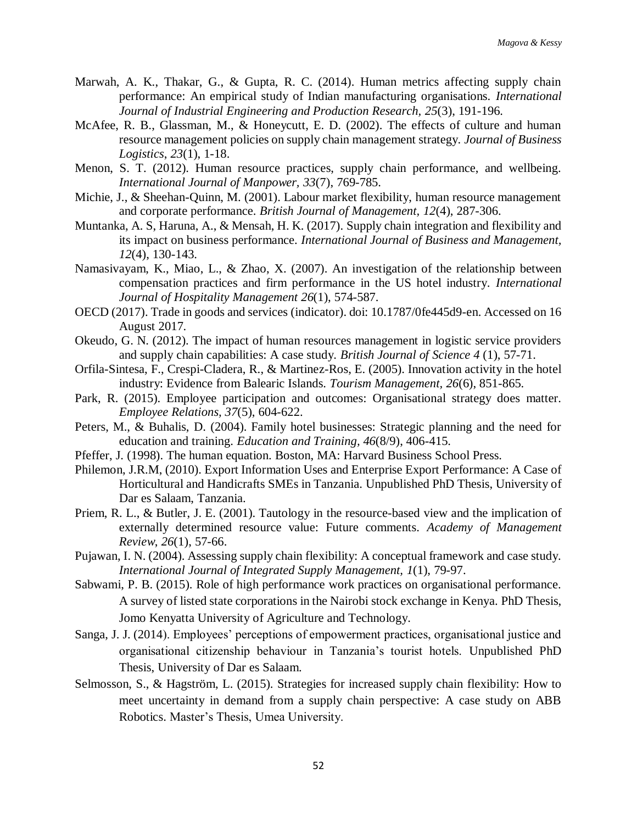- Marwah, A. K., Thakar, G., & Gupta, R. C. (2014). Human metrics affecting supply chain performance: An empirical study of Indian manufacturing organisations. *International Journal of Industrial Engineering and Production Research, 25*(3), 191-196.
- McAfee, R. B., Glassman, M., & Honeycutt, E. D. (2002). The effects of culture and human resource management policies on supply chain management strategy. *Journal of Business Logistics*, *23*(1), 1-18.
- Menon, S. T. (2012). Human resource practices, supply chain performance, and wellbeing. *International Journal of Manpower, 33*(7), 769-785.
- Michie, J., & Sheehan-Quinn, M. (2001). Labour market flexibility, human resource management and corporate performance. *British Journal of Management, 12*(4), 287-306.
- Muntanka, A. S, Haruna, A., & Mensah, H. K. (2017). Supply chain integration and flexibility and its impact on business performance. *International Journal of Business and Management, 12*(4), 130-143.
- Namasivayam, K., Miao, L., & Zhao, X. (2007). An investigation of the relationship between compensation practices and firm performance in the US hotel industry. *International Journal of Hospitality Management 26*(1), 574-587.
- OECD (2017). Trade in goods and services (indicator). doi: 10.1787/0fe445d9-en. Accessed on 16 August 2017.
- Okeudo, G. N. (2012). The impact of human resources management in logistic service providers and supply chain capabilities: A case study. *British Journal of Science 4* (1), 57-71.
- Orfila-Sintesa, F., Crespi-Cladera, R., & Martinez-Ros, E. (2005). Innovation activity in the hotel industry: Evidence from Balearic Islands. *Tourism Management, 26*(6), 851-865.
- Park, R. (2015). Employee participation and outcomes: Organisational strategy does matter. *Employee Relations, 37*(5), 604-622.
- Peters, M., & Buhalis, D. (2004). Family hotel businesses: Strategic planning and the need for education and training. *Education and Training, 46*(8/9), 406-415.
- Pfeffer, J. (1998). The human equation. Boston, MA: Harvard Business School Press.
- Philemon, J.R.M, (2010). Export Information Uses and Enterprise Export Performance: A Case of Horticultural and Handicrafts SMEs in Tanzania. Unpublished PhD Thesis, University of Dar es Salaam, Tanzania.
- Priem, R. L., & Butler, J. E. (2001). Tautology in the resource-based view and the implication of externally determined resource value: Future comments. *Academy of Management Review*, *26*(1), 57-66.
- Pujawan, I. N. (2004). Assessing supply chain flexibility: A conceptual framework and case study. *International Journal of Integrated Supply Management, 1*(1), 79-97.
- Sabwami, P. B. (2015). Role of high performance work practices on organisational performance. A survey of listed state corporations in the Nairobi stock exchange in Kenya. PhD Thesis, Jomo Kenyatta University of Agriculture and Technology.
- Sanga, J. J. (2014). Employees' perceptions of empowerment practices, organisational justice and organisational citizenship behaviour in Tanzania's tourist hotels. Unpublished PhD Thesis, University of Dar es Salaam.
- Selmosson, S., & Hagström, L. (2015). Strategies for increased supply chain flexibility: How to meet uncertainty in demand from a supply chain perspective: A case study on ABB Robotics. Master's Thesis, Umea University.